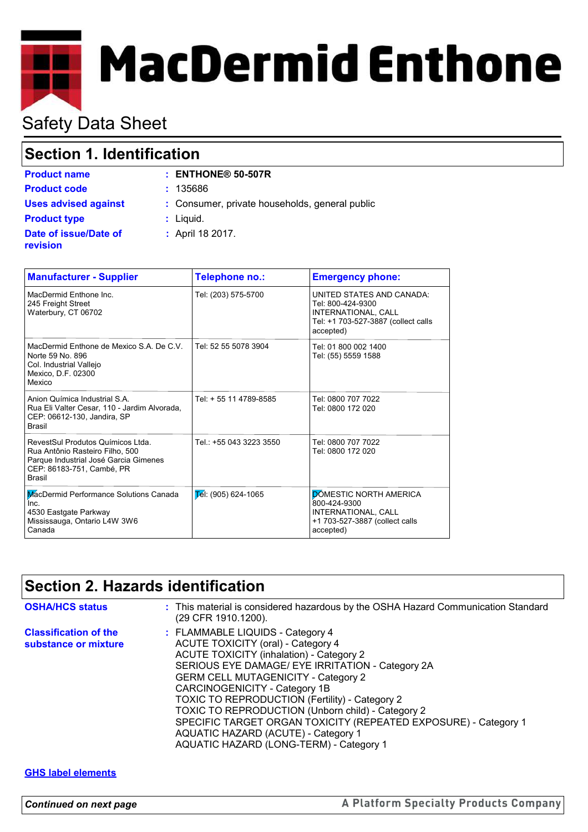# **MacDermid Enthone**

## Safety Data Sheet

## **Section 1. Identification**

| <b>Product name</b>         |  |
|-----------------------------|--|
| <b>Product code</b>         |  |
| <b>Uses advised against</b> |  |
| <b>Product type</b>         |  |
| Date of issue/Date of       |  |
| revision                    |  |

**Product code :** 135686 **:** Consumer, private households, general public

**Product name : ENTHONE® 50-507R**

- **:** Liquid.
- **:** April 18 2017.

| <b>Manufacturer - Supplier</b>                                                                                                                              | Telephone no.:          | <b>Emergency phone:</b>                                                                                                   |
|-------------------------------------------------------------------------------------------------------------------------------------------------------------|-------------------------|---------------------------------------------------------------------------------------------------------------------------|
| MacDermid Enthone Inc.<br>245 Freight Street<br>Waterbury, CT 06702                                                                                         | Tel: (203) 575-5700     | UNITED STATES AND CANADA:<br>Tel: 800-424-9300<br>INTERNATIONAL, CALL<br>Tel: +1 703-527-3887 (collect calls<br>accepted) |
| MacDermid Enthone de Mexico S.A. De C.V.<br>Norte 59 No. 896<br>Col. Industrial Vallejo<br>Mexico, D.F. 02300<br>Mexico                                     | Tel: 52 55 5078 3904    | Tel: 01 800 002 1400<br>Tel: (55) 5559 1588                                                                               |
| Anion Química Industrial S.A.<br>Rua Eli Valter Cesar, 110 - Jardim Alvorada,<br>CEP: 06612-130, Jandira, SP<br><b>Brasil</b>                               | Tel: + 55 11 4789-8585  | Tel: 0800 707 7022<br>Tel: 0800 172 020                                                                                   |
| RevestSul Produtos Químicos Ltda.<br>Rua Antônio Rasteiro Filho, 500<br>Parque Industrial José Garcia Gimenes<br>CEP: 86183-751, Cambé, PR<br><b>Brasil</b> | Tel.: +55 043 3223 3550 | Tel: 0800 707 7022<br>Tel: 0800 172 020                                                                                   |
| MacDermid Performance Solutions Canada<br>Inc.<br>4530 Eastgate Parkway<br>Mississauga, Ontario L4W 3W6<br>Canada                                           | $E$ el: (905) 624-1065  | <b>DOMESTIC NORTH AMERICA</b><br>800-424-9300<br>INTERNATIONAL, CALL<br>+1 703-527-3887 (collect calls<br>accepted)       |

## **Section 2. Hazards identification**

| <b>OSHA/HCS status</b>                               | : This material is considered hazardous by the OSHA Hazard Communication Standard<br>(29 CFR 1910.1200).                                                                                                                                                                                                                                                                                                                                                                                                          |
|------------------------------------------------------|-------------------------------------------------------------------------------------------------------------------------------------------------------------------------------------------------------------------------------------------------------------------------------------------------------------------------------------------------------------------------------------------------------------------------------------------------------------------------------------------------------------------|
| <b>Classification of the</b><br>substance or mixture | : FLAMMABLE LIQUIDS - Category 4<br>ACUTE TOXICITY (oral) - Category 4<br>ACUTE TOXICITY (inhalation) - Category 2<br>SERIOUS EYE DAMAGE/ EYE IRRITATION - Category 2A<br><b>GERM CELL MUTAGENICITY - Category 2</b><br>CARCINOGENICITY - Category 1B<br>TOXIC TO REPRODUCTION (Fertility) - Category 2<br>TOXIC TO REPRODUCTION (Unborn child) - Category 2<br>SPECIFIC TARGET ORGAN TOXICITY (REPEATED EXPOSURE) - Category 1<br>AQUATIC HAZARD (ACUTE) - Category 1<br>AQUATIC HAZARD (LONG-TERM) - Category 1 |

### **GHS label elements**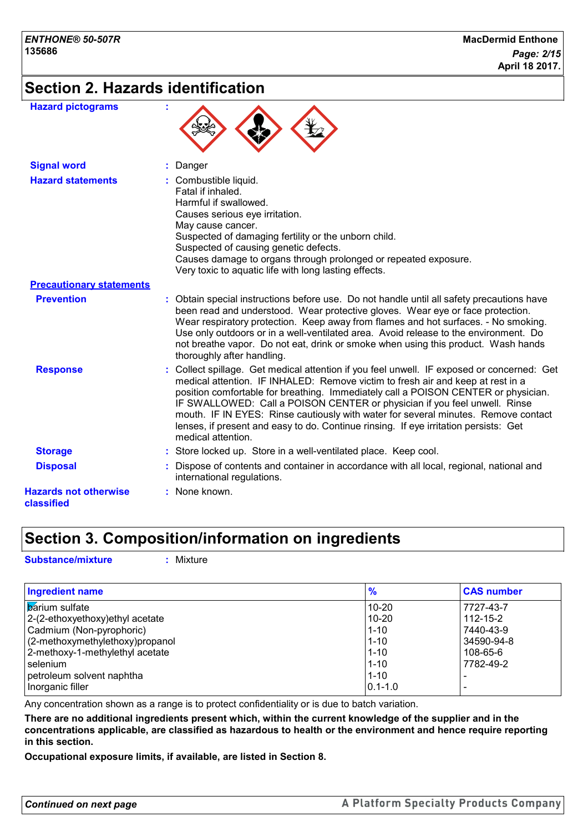## **Section 2. Hazards identification**

 $\blacktriangle$ 

 $\blacktriangle$ 

| <b>Hazard pictograms</b> |  |
|--------------------------|--|
|--------------------------|--|

| <b>Signal word</b>                         | : Danger                                                                                                                                                                                                                                                                                                                                                                                                                                                                                                                                             |
|--------------------------------------------|------------------------------------------------------------------------------------------------------------------------------------------------------------------------------------------------------------------------------------------------------------------------------------------------------------------------------------------------------------------------------------------------------------------------------------------------------------------------------------------------------------------------------------------------------|
| <b>Hazard statements</b>                   | : Combustible liquid.<br>Fatal if inhaled.<br>Harmful if swallowed.<br>Causes serious eye irritation.<br>May cause cancer.<br>Suspected of damaging fertility or the unborn child.<br>Suspected of causing genetic defects.<br>Causes damage to organs through prolonged or repeated exposure.<br>Very toxic to aquatic life with long lasting effects.                                                                                                                                                                                              |
| <b>Precautionary statements</b>            |                                                                                                                                                                                                                                                                                                                                                                                                                                                                                                                                                      |
| <b>Prevention</b>                          | : Obtain special instructions before use. Do not handle until all safety precautions have<br>been read and understood. Wear protective gloves. Wear eye or face protection.<br>Wear respiratory protection. Keep away from flames and hot surfaces. - No smoking.<br>Use only outdoors or in a well-ventilated area. Avoid release to the environment. Do<br>not breathe vapor. Do not eat, drink or smoke when using this product. Wash hands<br>thoroughly after handling.                                                                         |
| <b>Response</b>                            | : Collect spillage. Get medical attention if you feel unwell. IF exposed or concerned: Get<br>medical attention. IF INHALED: Remove victim to fresh air and keep at rest in a<br>position comfortable for breathing. Immediately call a POISON CENTER or physician.<br>IF SWALLOWED: Call a POISON CENTER or physician if you feel unwell. Rinse<br>mouth. IF IN EYES: Rinse cautiously with water for several minutes. Remove contact<br>lenses, if present and easy to do. Continue rinsing. If eye irritation persists: Get<br>medical attention. |
| <b>Storage</b>                             | : Store locked up. Store in a well-ventilated place. Keep cool.                                                                                                                                                                                                                                                                                                                                                                                                                                                                                      |
| <b>Disposal</b>                            | : Dispose of contents and container in accordance with all local, regional, national and<br>international regulations.                                                                                                                                                                                                                                                                                                                                                                                                                               |
| <b>Hazards not otherwise</b><br>classified | : None known.                                                                                                                                                                                                                                                                                                                                                                                                                                                                                                                                        |

## **Section 3. Composition/information on ingredients**

**Substance/mixture :** Mixture

| <b>Ingredient name</b>           | $\frac{9}{6}$ | <b>CAS number</b> |
|----------------------------------|---------------|-------------------|
| <b>Barium</b> sulfate            | $10 - 20$     | 7727-43-7         |
| 2-(2-ethoxyethoxy) ethyl acetate | $10 - 20$     | $112 - 15 - 2$    |
| Cadmium (Non-pyrophoric)         | $1 - 10$      | 7440-43-9         |
| (2-methoxymethylethoxy)propanol  | $1 - 10$      | 34590-94-8        |
| 2-methoxy-1-methylethyl acetate  | $1 - 10$      | 108-65-6          |
| selenium                         | $1 - 10$      | 7782-49-2         |
| petroleum solvent naphtha        | $1 - 10$      |                   |
| Inorganic filler                 | $ 0.1 - 1.0$  |                   |

Any concentration shown as a range is to protect confidentiality or is due to batch variation.

**There are no additional ingredients present which, within the current knowledge of the supplier and in the concentrations applicable, are classified as hazardous to health or the environment and hence require reporting in this section.**

**Occupational exposure limits, if available, are listed in Section 8.**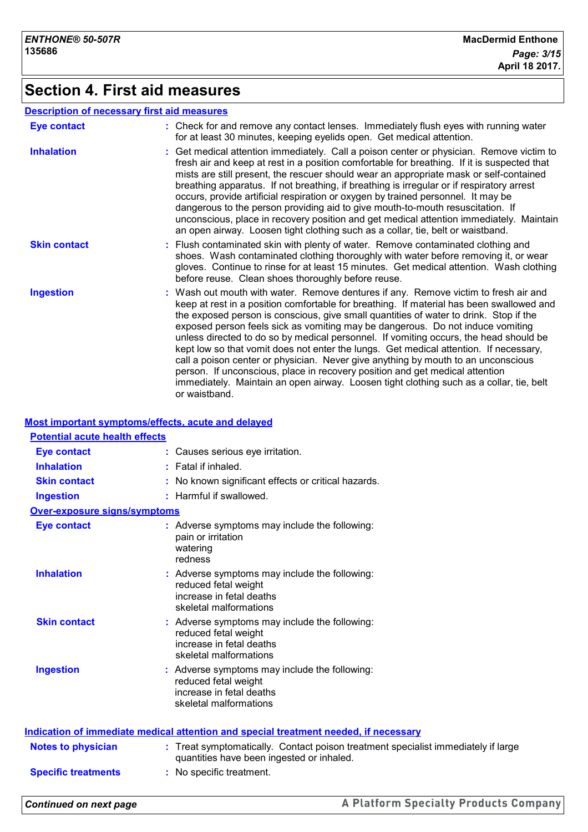## **Section 4. First aid measures**

#### **Description of necessary first aid measures**

| <b>Eye contact</b>  | : Check for and remove any contact lenses. Immediately flush eyes with running water<br>for at least 30 minutes, keeping eyelids open. Get medical attention.                                                                                                                                                                                                                                                                                                                                                                                                                                                                                                                                                                                                                                                                 |
|---------------------|-------------------------------------------------------------------------------------------------------------------------------------------------------------------------------------------------------------------------------------------------------------------------------------------------------------------------------------------------------------------------------------------------------------------------------------------------------------------------------------------------------------------------------------------------------------------------------------------------------------------------------------------------------------------------------------------------------------------------------------------------------------------------------------------------------------------------------|
| <b>Inhalation</b>   | : Get medical attention immediately. Call a poison center or physician. Remove victim to<br>fresh air and keep at rest in a position comfortable for breathing. If it is suspected that<br>mists are still present, the rescuer should wear an appropriate mask or self-contained<br>breathing apparatus. If not breathing, if breathing is irregular or if respiratory arrest<br>occurs, provide artificial respiration or oxygen by trained personnel. It may be<br>dangerous to the person providing aid to give mouth-to-mouth resuscitation. If<br>unconscious, place in recovery position and get medical attention immediately. Maintain<br>an open airway. Loosen tight clothing such as a collar, tie, belt or waistband.                                                                                            |
| <b>Skin contact</b> | : Flush contaminated skin with plenty of water. Remove contaminated clothing and<br>shoes. Wash contaminated clothing thoroughly with water before removing it, or wear<br>gloves. Continue to rinse for at least 15 minutes. Get medical attention. Wash clothing<br>before reuse. Clean shoes thoroughly before reuse.                                                                                                                                                                                                                                                                                                                                                                                                                                                                                                      |
| <b>Ingestion</b>    | : Wash out mouth with water. Remove dentures if any. Remove victim to fresh air and<br>keep at rest in a position comfortable for breathing. If material has been swallowed and<br>the exposed person is conscious, give small quantities of water to drink. Stop if the<br>exposed person feels sick as vomiting may be dangerous. Do not induce vomiting<br>unless directed to do so by medical personnel. If vomiting occurs, the head should be<br>kept low so that vomit does not enter the lungs. Get medical attention. If necessary,<br>call a poison center or physician. Never give anything by mouth to an unconscious<br>person. If unconscious, place in recovery position and get medical attention<br>immediately. Maintain an open airway. Loosen tight clothing such as a collar, tie, belt<br>or waistband. |

#### **Most important symptoms/effects, acute and delayed**

| <b>Potential acute health effects</b> |                                                                                                                                |
|---------------------------------------|--------------------------------------------------------------------------------------------------------------------------------|
| <b>Eye contact</b>                    | : Causes serious eye irritation.                                                                                               |
| <b>Inhalation</b>                     | Fatal if inhaled.                                                                                                              |
| <b>Skin contact</b>                   | No known significant effects or critical hazards.                                                                              |
| <b>Ingestion</b>                      | : Harmful if swallowed.                                                                                                        |
| <b>Over-exposure signs/symptoms</b>   |                                                                                                                                |
| <b>Eye contact</b>                    | : Adverse symptoms may include the following:<br>pain or irritation<br>watering<br>redness                                     |
| <b>Inhalation</b>                     | : Adverse symptoms may include the following:<br>reduced fetal weight<br>increase in fetal deaths<br>skeletal malformations    |
| <b>Skin contact</b>                   | : Adverse symptoms may include the following:<br>reduced fetal weight<br>increase in fetal deaths<br>skeletal malformations    |
| <b>Ingestion</b>                      | : Adverse symptoms may include the following:<br>reduced fetal weight<br>increase in fetal deaths<br>skeletal malformations    |
|                                       | Indication of immediate medical attention and special treatment needed, if necessary                                           |
| <b>Notes to physician</b>             | : Treat symptomatically. Contact poison treatment specialist immediately if large<br>quantities have been ingested or inhaled. |
| <b>Specific treatments</b>            | : No specific treatment.                                                                                                       |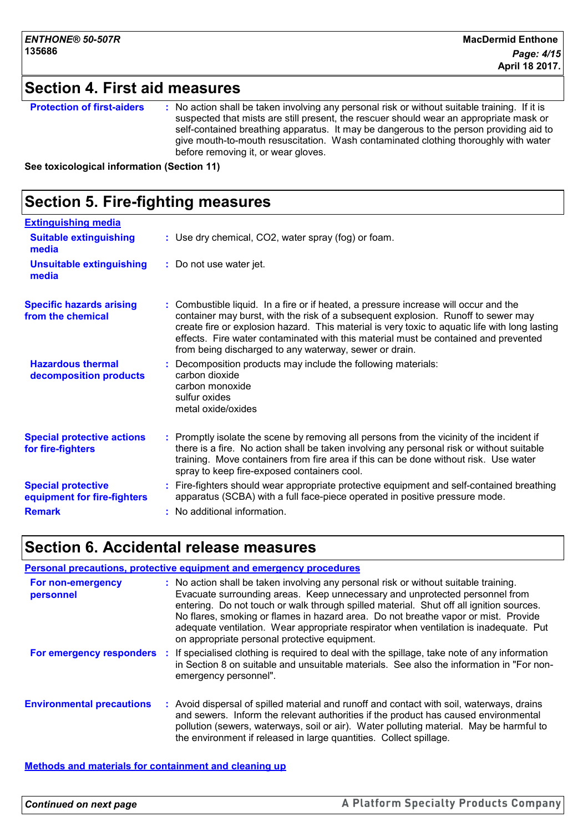## **Section 4. First aid measures**

| <b>Protection of first-aiders</b> | : No action shall be taken involving any personal risk or without suitable training. If it is<br>suspected that mists are still present, the rescuer should wear an appropriate mask or<br>self-contained breathing apparatus. It may be dangerous to the person providing aid to<br>give mouth-to-mouth resuscitation. Wash contaminated clothing thoroughly with water<br>before removing it, or wear gloves. |
|-----------------------------------|-----------------------------------------------------------------------------------------------------------------------------------------------------------------------------------------------------------------------------------------------------------------------------------------------------------------------------------------------------------------------------------------------------------------|
|                                   |                                                                                                                                                                                                                                                                                                                                                                                                                 |

**See toxicological information (Section 11)**

#### **Section 5. Fire-fighting measures :** Promptly isolate the scene by removing all persons from the vicinity of the incident if there is a fire. No action shall be taken involving any personal risk or without suitable training. Move containers from fire area if this can be done without risk. Use water spray to keep fire-exposed containers cool. **Hazardous thermal decomposition products Specific hazards arising from the chemical** Decomposition products may include the following materials: **:** carbon dioxide carbon monoxide sulfur oxides metal oxide/oxides Combustible liquid. In a fire or if heated, a pressure increase will occur and the **:** container may burst, with the risk of a subsequent explosion. Runoff to sewer may create fire or explosion hazard. This material is very toxic to aquatic life with long lasting effects. Fire water contaminated with this material must be contained and prevented from being discharged to any waterway, sewer or drain. Fire-fighters should wear appropriate protective equipment and self-contained breathing **:** apparatus (SCBA) with a full face-piece operated in positive pressure mode. **Special protective equipment for fire-fighters** Use dry chemical, CO2, water spray (fog) or foam. **: Extinguishing media :** Do not use water jet. **Suitable extinguishing media Unsuitable extinguishing media Special protective actions for fire-fighters Remark :** No additional information.

## **Section 6. Accidental release measures**

#### **Environmental precautions Personal precautions, protective equipment and emergency procedures :** Avoid dispersal of spilled material and runoff and contact with soil, waterways, drains **:** No action shall be taken involving any personal risk or without suitable training. Evacuate surrounding areas. Keep unnecessary and unprotected personnel from entering. Do not touch or walk through spilled material. Shut off all ignition sources. No flares, smoking or flames in hazard area. Do not breathe vapor or mist. Provide adequate ventilation. Wear appropriate respirator when ventilation is inadequate. Put on appropriate personal protective equipment. and sewers. Inform the relevant authorities if the product has caused environmental pollution (sewers, waterways, soil or air). Water polluting material. May be harmful to the environment if released in large quantities. Collect spillage. **For non-emergency personnel For emergency responders** : If specialised clothing is required to deal with the spillage, take note of any information in Section 8 on suitable and unsuitable materials. See also the information in "For nonemergency personnel".

#### **Methods and materials for containment and cleaning up**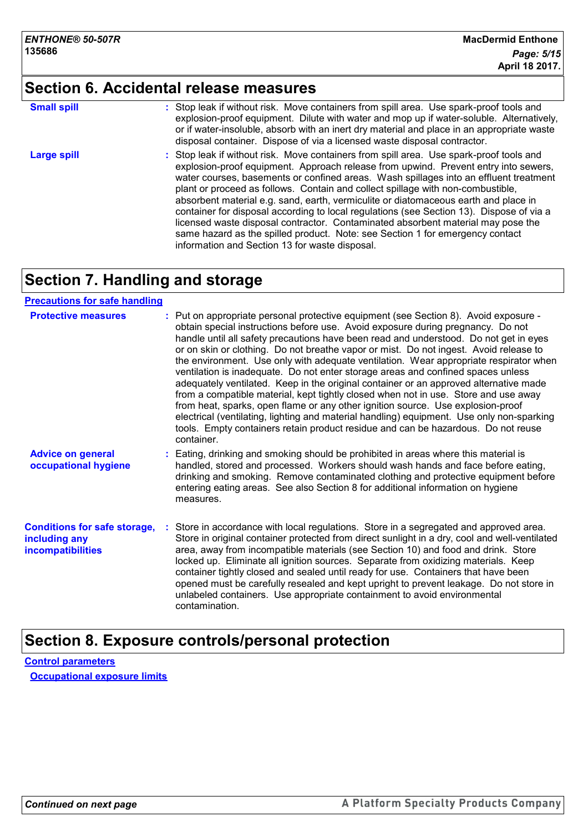## **Section 6. Accidental release measures**

| <b>Small spill</b> | : Stop leak if without risk. Move containers from spill area. Use spark-proof tools and<br>explosion-proof equipment. Dilute with water and mop up if water-soluble. Alternatively,<br>or if water-insoluble, absorb with an inert dry material and place in an appropriate waste<br>disposal container. Dispose of via a licensed waste disposal contractor.                                                                                                                                                                                                                                                                                                                                                                                                        |
|--------------------|----------------------------------------------------------------------------------------------------------------------------------------------------------------------------------------------------------------------------------------------------------------------------------------------------------------------------------------------------------------------------------------------------------------------------------------------------------------------------------------------------------------------------------------------------------------------------------------------------------------------------------------------------------------------------------------------------------------------------------------------------------------------|
| <b>Large spill</b> | : Stop leak if without risk. Move containers from spill area. Use spark-proof tools and<br>explosion-proof equipment. Approach release from upwind. Prevent entry into sewers,<br>water courses, basements or confined areas. Wash spillages into an effluent treatment<br>plant or proceed as follows. Contain and collect spillage with non-combustible,<br>absorbent material e.g. sand, earth, vermiculite or diatomaceous earth and place in<br>container for disposal according to local regulations (see Section 13). Dispose of via a<br>licensed waste disposal contractor. Contaminated absorbent material may pose the<br>same hazard as the spilled product. Note: see Section 1 for emergency contact<br>information and Section 13 for waste disposal. |

## **Section 7. Handling and storage**

#### **Precautions for safe handling**

| <b>Protective measures</b>                                                       | : Put on appropriate personal protective equipment (see Section 8). Avoid exposure -<br>obtain special instructions before use. Avoid exposure during pregnancy. Do not<br>handle until all safety precautions have been read and understood. Do not get in eyes<br>or on skin or clothing. Do not breathe vapor or mist. Do not ingest. Avoid release to<br>the environment. Use only with adequate ventilation. Wear appropriate respirator when<br>ventilation is inadequate. Do not enter storage areas and confined spaces unless<br>adequately ventilated. Keep in the original container or an approved alternative made<br>from a compatible material, kept tightly closed when not in use. Store and use away<br>from heat, sparks, open flame or any other ignition source. Use explosion-proof<br>electrical (ventilating, lighting and material handling) equipment. Use only non-sparking<br>tools. Empty containers retain product residue and can be hazardous. Do not reuse<br>container. |
|----------------------------------------------------------------------------------|-----------------------------------------------------------------------------------------------------------------------------------------------------------------------------------------------------------------------------------------------------------------------------------------------------------------------------------------------------------------------------------------------------------------------------------------------------------------------------------------------------------------------------------------------------------------------------------------------------------------------------------------------------------------------------------------------------------------------------------------------------------------------------------------------------------------------------------------------------------------------------------------------------------------------------------------------------------------------------------------------------------|
| <b>Advice on general</b><br>occupational hygiene                                 | : Eating, drinking and smoking should be prohibited in areas where this material is<br>handled, stored and processed. Workers should wash hands and face before eating,<br>drinking and smoking. Remove contaminated clothing and protective equipment before<br>entering eating areas. See also Section 8 for additional information on hygiene<br>measures.                                                                                                                                                                                                                                                                                                                                                                                                                                                                                                                                                                                                                                             |
| <b>Conditions for safe storage,</b><br>including any<br><b>incompatibilities</b> | : Store in accordance with local regulations. Store in a segregated and approved area.<br>Store in original container protected from direct sunlight in a dry, cool and well-ventilated<br>area, away from incompatible materials (see Section 10) and food and drink. Store<br>locked up. Eliminate all ignition sources. Separate from oxidizing materials. Keep<br>container tightly closed and sealed until ready for use. Containers that have been<br>opened must be carefully resealed and kept upright to prevent leakage. Do not store in<br>unlabeled containers. Use appropriate containment to avoid environmental<br>contamination.                                                                                                                                                                                                                                                                                                                                                          |

## **Section 8. Exposure controls/personal protection**

**Control parameters Occupational exposure limits**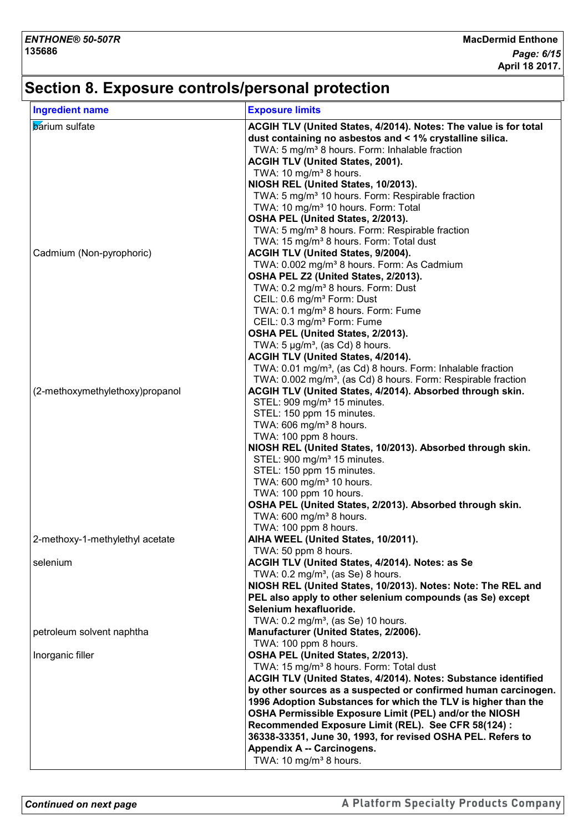## **Section 8. Exposure controls/personal protection**

| <b>Ingredient name</b>          | <b>Exposure limits</b>                                                    |
|---------------------------------|---------------------------------------------------------------------------|
| <b>barium</b> sulfate           | ACGIH TLV (United States, 4/2014). Notes: The value is for total          |
|                                 | dust containing no asbestos and < 1% crystalline silica.                  |
|                                 | TWA: 5 mg/m <sup>3</sup> 8 hours. Form: Inhalable fraction                |
|                                 | <b>ACGIH TLV (United States, 2001).</b>                                   |
|                                 | TWA: 10 mg/m <sup>3</sup> 8 hours.                                        |
|                                 | NIOSH REL (United States, 10/2013).                                       |
|                                 | TWA: 5 mg/m <sup>3</sup> 10 hours. Form: Respirable fraction              |
|                                 | TWA: 10 mg/m <sup>3</sup> 10 hours. Form: Total                           |
|                                 | OSHA PEL (United States, 2/2013).                                         |
|                                 | TWA: 5 mg/m <sup>3</sup> 8 hours. Form: Respirable fraction               |
|                                 | TWA: 15 mg/m <sup>3</sup> 8 hours. Form: Total dust                       |
| Cadmium (Non-pyrophoric)        | <b>ACGIH TLV (United States, 9/2004).</b>                                 |
|                                 | TWA: 0.002 mg/m <sup>3</sup> 8 hours. Form: As Cadmium                    |
|                                 | OSHA PEL Z2 (United States, 2/2013).                                      |
|                                 | TWA: 0.2 mg/m <sup>3</sup> 8 hours. Form: Dust                            |
|                                 | CEIL: 0.6 mg/m <sup>3</sup> Form: Dust                                    |
|                                 | TWA: 0.1 mg/m <sup>3</sup> 8 hours. Form: Fume                            |
|                                 | CEIL: 0.3 mg/m <sup>3</sup> Form: Fume                                    |
|                                 | OSHA PEL (United States, 2/2013).                                         |
|                                 | TWA: $5 \mu g/m^3$ , (as Cd) 8 hours.                                     |
|                                 | ACGIH TLV (United States, 4/2014).                                        |
|                                 | TWA: 0.01 mg/m <sup>3</sup> , (as Cd) 8 hours. Form: Inhalable fraction   |
|                                 | TWA: 0.002 mg/m <sup>3</sup> , (as Cd) 8 hours. Form: Respirable fraction |
| (2-methoxymethylethoxy)propanol | ACGIH TLV (United States, 4/2014). Absorbed through skin.                 |
|                                 | STEL: 909 mg/m <sup>3</sup> 15 minutes.                                   |
|                                 | STEL: 150 ppm 15 minutes.                                                 |
|                                 | TWA: 606 mg/m <sup>3</sup> 8 hours.                                       |
|                                 | TWA: 100 ppm 8 hours.                                                     |
|                                 | NIOSH REL (United States, 10/2013). Absorbed through skin.                |
|                                 | STEL: 900 mg/m <sup>3</sup> 15 minutes.                                   |
|                                 |                                                                           |
|                                 | STEL: 150 ppm 15 minutes.<br>TWA: 600 mg/m <sup>3</sup> 10 hours.         |
|                                 |                                                                           |
|                                 | TWA: 100 ppm 10 hours.                                                    |
|                                 | OSHA PEL (United States, 2/2013). Absorbed through skin.                  |
|                                 | TWA: 600 mg/m <sup>3</sup> 8 hours.                                       |
|                                 | TWA: 100 ppm 8 hours.                                                     |
| 2-methoxy-1-methylethyl acetate | AIHA WEEL (United States, 10/2011).                                       |
|                                 | TWA: 50 ppm 8 hours.                                                      |
| selenium                        | ACGIH TLV (United States, 4/2014). Notes: as Se                           |
|                                 | TWA: $0.2 \text{ mg/m}^3$ , (as Se) 8 hours.                              |
|                                 | NIOSH REL (United States, 10/2013). Notes: Note: The REL and              |
|                                 | PEL also apply to other selenium compounds (as Se) except                 |
|                                 | Selenium hexafluoride.                                                    |
|                                 | TWA: $0.2 \text{ mg/m}^3$ , (as Se) 10 hours.                             |
| petroleum solvent naphtha       | Manufacturer (United States, 2/2006).                                     |
|                                 | TWA: 100 ppm 8 hours.                                                     |
| Inorganic filler                | OSHA PEL (United States, 2/2013).                                         |
|                                 | TWA: 15 mg/m <sup>3</sup> 8 hours. Form: Total dust                       |
|                                 | ACGIH TLV (United States, 4/2014). Notes: Substance identified            |
|                                 | by other sources as a suspected or confirmed human carcinogen.            |
|                                 | 1996 Adoption Substances for which the TLV is higher than the             |
|                                 | OSHA Permissible Exposure Limit (PEL) and/or the NIOSH                    |
|                                 | Recommended Exposure Limit (REL). See CFR 58(124) :                       |
|                                 | 36338-33351, June 30, 1993, for revised OSHA PEL. Refers to               |
|                                 | Appendix A -- Carcinogens.                                                |
|                                 |                                                                           |
|                                 | TWA: 10 mg/m <sup>3</sup> 8 hours.                                        |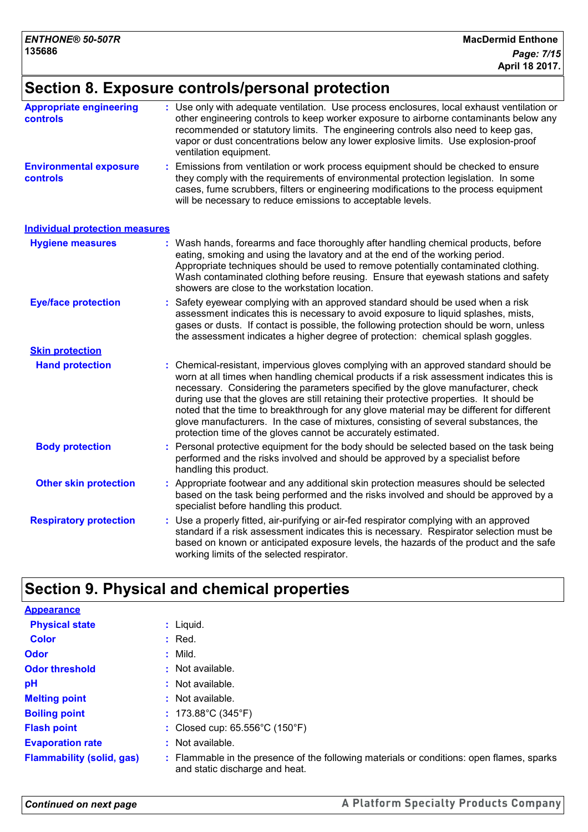## **Section 8. Exposure controls/personal protection**

| <b>Appropriate engineering</b><br><b>controls</b> | : Use only with adequate ventilation. Use process enclosures, local exhaust ventilation or<br>other engineering controls to keep worker exposure to airborne contaminants below any<br>recommended or statutory limits. The engineering controls also need to keep gas,<br>vapor or dust concentrations below any lower explosive limits. Use explosion-proof<br>ventilation equipment.                                                                                                                                                                                                                              |  |  |  |
|---------------------------------------------------|----------------------------------------------------------------------------------------------------------------------------------------------------------------------------------------------------------------------------------------------------------------------------------------------------------------------------------------------------------------------------------------------------------------------------------------------------------------------------------------------------------------------------------------------------------------------------------------------------------------------|--|--|--|
| <b>Environmental exposure</b><br>controls         | Emissions from ventilation or work process equipment should be checked to ensure<br>they comply with the requirements of environmental protection legislation. In some<br>cases, fume scrubbers, filters or engineering modifications to the process equipment<br>will be necessary to reduce emissions to acceptable levels.                                                                                                                                                                                                                                                                                        |  |  |  |
| <b>Individual protection measures</b>             |                                                                                                                                                                                                                                                                                                                                                                                                                                                                                                                                                                                                                      |  |  |  |
| <b>Hygiene measures</b>                           | : Wash hands, forearms and face thoroughly after handling chemical products, before<br>eating, smoking and using the lavatory and at the end of the working period.<br>Appropriate techniques should be used to remove potentially contaminated clothing.<br>Wash contaminated clothing before reusing. Ensure that eyewash stations and safety<br>showers are close to the workstation location.                                                                                                                                                                                                                    |  |  |  |
| <b>Eye/face protection</b>                        | : Safety eyewear complying with an approved standard should be used when a risk<br>assessment indicates this is necessary to avoid exposure to liquid splashes, mists,<br>gases or dusts. If contact is possible, the following protection should be worn, unless<br>the assessment indicates a higher degree of protection: chemical splash goggles.                                                                                                                                                                                                                                                                |  |  |  |
| <b>Skin protection</b>                            |                                                                                                                                                                                                                                                                                                                                                                                                                                                                                                                                                                                                                      |  |  |  |
| <b>Hand protection</b>                            | Chemical-resistant, impervious gloves complying with an approved standard should be<br>worn at all times when handling chemical products if a risk assessment indicates this is<br>necessary. Considering the parameters specified by the glove manufacturer, check<br>during use that the gloves are still retaining their protective properties. It should be<br>noted that the time to breakthrough for any glove material may be different for different<br>glove manufacturers. In the case of mixtures, consisting of several substances, the<br>protection time of the gloves cannot be accurately estimated. |  |  |  |
| <b>Body protection</b>                            | : Personal protective equipment for the body should be selected based on the task being<br>performed and the risks involved and should be approved by a specialist before<br>handling this product.                                                                                                                                                                                                                                                                                                                                                                                                                  |  |  |  |
| <b>Other skin protection</b>                      | : Appropriate footwear and any additional skin protection measures should be selected<br>based on the task being performed and the risks involved and should be approved by a<br>specialist before handling this product.                                                                                                                                                                                                                                                                                                                                                                                            |  |  |  |
| <b>Respiratory protection</b>                     | : Use a properly fitted, air-purifying or air-fed respirator complying with an approved<br>standard if a risk assessment indicates this is necessary. Respirator selection must be<br>based on known or anticipated exposure levels, the hazards of the product and the safe<br>working limits of the selected respirator.                                                                                                                                                                                                                                                                                           |  |  |  |

## **Section 9. Physical and chemical properties**

| <b>Appearance</b>                |                                                                                                                             |
|----------------------------------|-----------------------------------------------------------------------------------------------------------------------------|
| <b>Physical state</b>            | $:$ Liquid.                                                                                                                 |
| <b>Color</b>                     | $:$ Red.                                                                                                                    |
| <b>Odor</b>                      | : Mild.                                                                                                                     |
| <b>Odor threshold</b>            | : Not available.                                                                                                            |
| pH                               | : Not available.                                                                                                            |
| <b>Melting point</b>             | $:$ Not available.                                                                                                          |
| <b>Boiling point</b>             | : $173.88^{\circ}$ C (345 $^{\circ}$ F)                                                                                     |
| <b>Flash point</b>               | : Closed cup: 65.556°C (150°F)                                                                                              |
| <b>Evaporation rate</b>          | $:$ Not available.                                                                                                          |
| <b>Flammability (solid, gas)</b> | : Flammable in the presence of the following materials or conditions: open flames, sparks<br>and static discharge and heat. |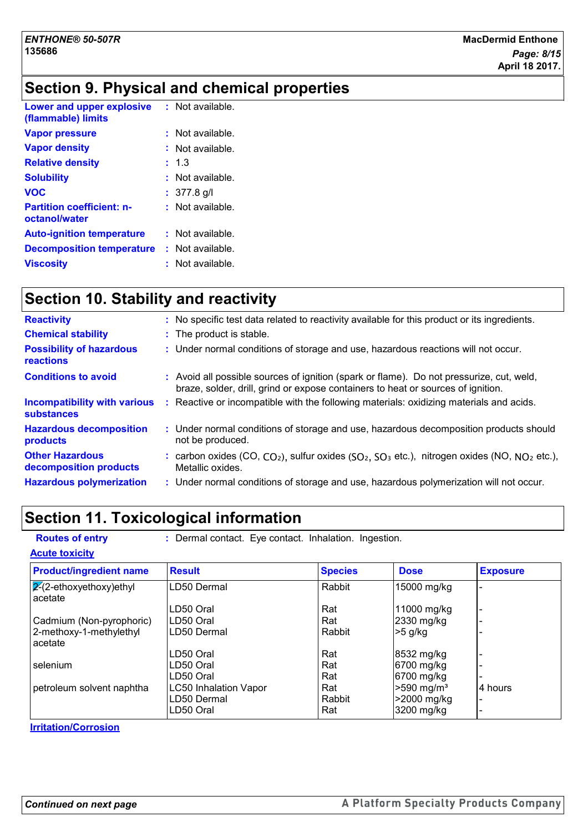## **Section 9. Physical and chemical properties**

| <b>Lower and upper explosive</b><br>(flammable) limits | $:$ Not available. |
|--------------------------------------------------------|--------------------|
| <b>Vapor pressure</b>                                  | : Not available.   |
| <b>Vapor density</b>                                   | : Not available.   |
| <b>Relative density</b>                                | : 1.3              |
| <b>Solubility</b>                                      | $:$ Not available. |
| <b>VOC</b>                                             | $: 377.8$ g/l      |
| <b>Partition coefficient: n-</b><br>octanol/water      | $:$ Not available. |
| <b>Auto-ignition temperature</b>                       | : Not available.   |
| <b>Decomposition temperature</b>                       | : Not available.   |
| <b>Viscosity</b>                                       | : Not available.   |

## **Section 10. Stability and reactivity**

| <b>Reactivity</b>                                        | : No specific test data related to reactivity available for this product or its ingredients.                                                                                 |
|----------------------------------------------------------|------------------------------------------------------------------------------------------------------------------------------------------------------------------------------|
| <b>Chemical stability</b>                                | : The product is stable.                                                                                                                                                     |
| <b>Possibility of hazardous</b><br>reactions             | : Under normal conditions of storage and use, hazardous reactions will not occur.                                                                                            |
| <b>Conditions to avoid</b>                               | : Avoid all possible sources of ignition (spark or flame). Do not pressurize, cut, weld,<br>braze, solder, drill, grind or expose containers to heat or sources of ignition. |
| <b>Incompatibility with various</b><br><b>substances</b> | : Reactive or incompatible with the following materials: oxidizing materials and acids.                                                                                      |
| <b>Hazardous decomposition</b><br>products               | : Under normal conditions of storage and use, hazardous decomposition products should<br>not be produced.                                                                    |
| <b>Other Hazardous</b><br>decomposition products         | : carbon oxides (CO, $CO_2$ ), sulfur oxides ( $SO_2$ , $SO_3$ etc.), nitrogen oxides (NO, $NO_2$ etc.),<br>Metallic oxides.                                                 |
| <b>Hazardous polymerization</b>                          | : Under normal conditions of storage and use, hazardous polymerization will not occur.                                                                                       |
|                                                          |                                                                                                                                                                              |

## **Section 11. Toxicological information**

| <b>Routes of entry</b>               | : Dermal contact. Eye contact. Inhalation. Ingestion. |                |                          |                 |
|--------------------------------------|-------------------------------------------------------|----------------|--------------------------|-----------------|
| <b>Acute toxicity</b>                |                                                       |                |                          |                 |
| <b>Product/ingredient name</b>       | <b>Result</b>                                         | <b>Species</b> | <b>Dose</b>              | <b>Exposure</b> |
| $2-(2-ethoxyethoxy)ethyl$<br>acetate | LD50 Dermal                                           | Rabbit         | 15000 mg/kg              |                 |
|                                      | LD50 Oral                                             | Rat            | 11000 mg/kg              |                 |
| Cadmium (Non-pyrophoric)             | LD50 Oral                                             | Rat            | 2330 mg/kg               |                 |
| 2-methoxy-1-methylethyl<br>acetate   | LD50 Dermal                                           | Rabbit         | $>5$ g/kg                |                 |
|                                      | LD50 Oral                                             | Rat            | 8532 mg/kg               |                 |
| selenium                             | LD50 Oral                                             | Rat            | 6700 mg/kg               |                 |
|                                      | LD50 Oral                                             | Rat            | 6700 mg/kg               |                 |
| petroleum solvent naphtha            | <b>LC50 Inhalation Vapor</b>                          | Rat            | $>590$ mg/m <sup>3</sup> | 4 hours         |
|                                      | LD50 Dermal                                           | Rabbit         | >2000 mg/kg              |                 |
|                                      | LD50 Oral                                             | Rat            | 3200 mg/kg               |                 |

**Irritation/Corrosion**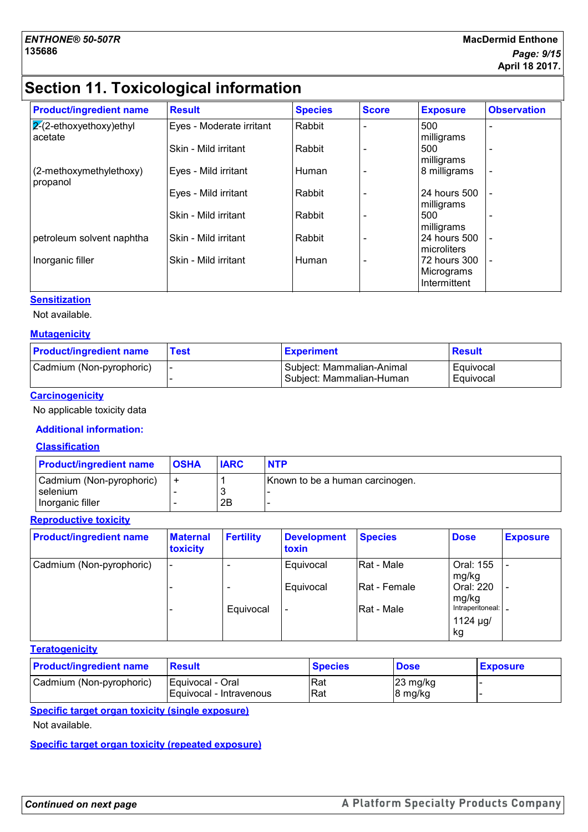## **Section 11. Toxicological information**

| <b>Product/ingredient name</b>        | <b>Result</b>            | <b>Species</b> | <b>Score</b> | <b>Exposure</b>                            | <b>Observation</b>       |
|---------------------------------------|--------------------------|----------------|--------------|--------------------------------------------|--------------------------|
| $ 2(2-ethoxyethoxy)$ ethyl<br>acetate | Eyes - Moderate irritant | Rabbit         |              | 500<br>milligrams                          | ۰                        |
|                                       | Skin - Mild irritant     | Rabbit         |              | 500<br>milligrams                          | ۰                        |
| (2-methoxymethylethoxy)<br>propanol   | Eyes - Mild irritant     | Human          |              | 8 milligrams                               | $\overline{\phantom{a}}$ |
|                                       | Eyes - Mild irritant     | Rabbit         |              | 24 hours 500<br>milligrams                 |                          |
|                                       | Skin - Mild irritant     | Rabbit         |              | 500<br>milligrams                          | ۰                        |
| petroleum solvent naphtha             | Skin - Mild irritant     | Rabbit         |              | 24 hours 500<br>microliters                | $\blacksquare$           |
| Inorganic filler                      | Skin - Mild irritant     | Human          |              | 72 hours 300<br>Micrograms<br>Intermittent | $\blacksquare$           |

#### **Sensitization**

Not available.

#### **Mutagenicity**

| <b>Product/ingredient name</b> | <b>Test</b> | <b>Experiment</b>                                     | <b>Result</b>          |
|--------------------------------|-------------|-------------------------------------------------------|------------------------|
| Cadmium (Non-pyrophoric)       |             | Subject: Mammalian-Animal<br>Subject: Mammalian-Human | Equivocal<br>Equivocal |

#### **Carcinogenicity**

No applicable toxicity data

#### **Additional information:**

#### **Classification**

| <b>Product/ingredient name</b>                                    | <b>OSHA</b> | <b>IARC</b> | <b>NTP</b>                      |
|-------------------------------------------------------------------|-------------|-------------|---------------------------------|
| Cadmium (Non-pyrophoric)<br><b>I</b> selenium<br>Inorganic filler |             | 2Β          | Known to be a human carcinogen. |

#### **Reproductive toxicity**

| <b>Product/ingredient name</b> | <b>Maternal</b><br>toxicity | <b>Fertility</b> | <b>Development</b><br>toxin | <b>Species</b>       | <b>Dose</b>                                | <b>Exposure</b> |
|--------------------------------|-----------------------------|------------------|-----------------------------|----------------------|--------------------------------------------|-----------------|
| Cadmium (Non-pyrophoric)       |                             |                  | Equivocal                   | Rat - Male           | Oral: 155<br>mg/kg                         |                 |
|                                |                             |                  | Equivocal                   | <b>IRat - Female</b> | Oral: 220<br>mg/kg                         |                 |
|                                |                             | Equivocal        | $\overline{\phantom{a}}$    | Rat - Male           | Intraperitoneal:  _<br>1124 $\mu$ g/<br>kg |                 |

#### **Teratogenicity**

| <b>Product/ingredient name</b> | <b>Result</b>                               | <b>Species</b> | <b>Dose</b>                   | <b>Exposure</b> |
|--------------------------------|---------------------------------------------|----------------|-------------------------------|-----------------|
| Cadmium (Non-pyrophoric)       | Equivocal - Oral<br>Equivocal - Intravenous | 'Rat<br>Rat    | $23 \text{ mg/kg}$<br>8 mg/kg |                 |

**Specific target organ toxicity (single exposure)**

Not available.

**Specific target organ toxicity (repeated exposure)**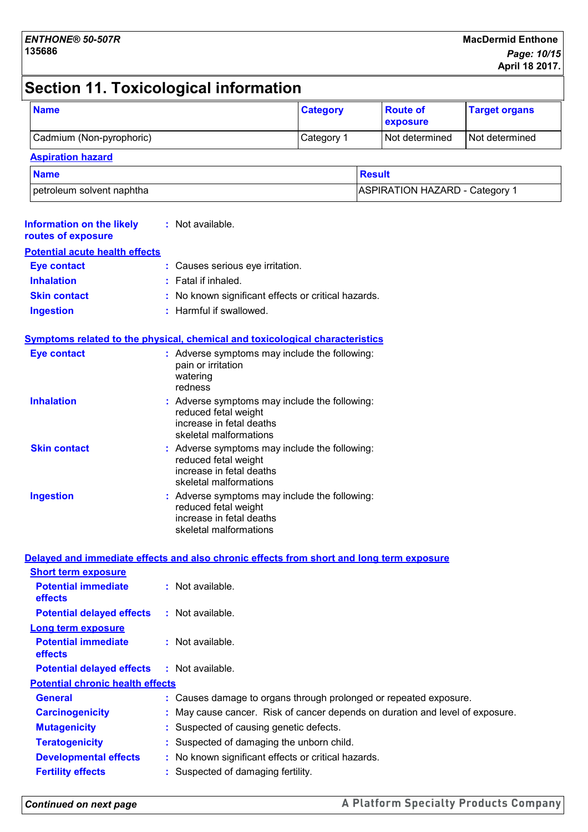## **Section 11. Toxicological information**

| <b>Name</b>                                                                              |                                                                            | <b>Category</b>                                                                                                           | <b>Route of</b><br>exposure           | <b>Target organs</b> |
|------------------------------------------------------------------------------------------|----------------------------------------------------------------------------|---------------------------------------------------------------------------------------------------------------------------|---------------------------------------|----------------------|
| Cadmium (Non-pyrophoric)                                                                 |                                                                            | Category 1                                                                                                                | Not determined                        | Not determined       |
| <b>Aspiration hazard</b>                                                                 |                                                                            |                                                                                                                           |                                       |                      |
| <b>Name</b>                                                                              |                                                                            |                                                                                                                           | <b>Result</b>                         |                      |
| petroleum solvent naphtha                                                                |                                                                            |                                                                                                                           | <b>ASPIRATION HAZARD - Category 1</b> |                      |
| <b>Information on the likely</b><br>routes of exposure                                   | : Not available.                                                           |                                                                                                                           |                                       |                      |
| <b>Potential acute health effects</b>                                                    |                                                                            |                                                                                                                           |                                       |                      |
| <b>Eye contact</b>                                                                       | : Causes serious eye irritation.                                           |                                                                                                                           |                                       |                      |
| <b>Inhalation</b>                                                                        | : Fatal if inhaled.                                                        |                                                                                                                           |                                       |                      |
| <b>Skin contact</b>                                                                      |                                                                            | : No known significant effects or critical hazards.                                                                       |                                       |                      |
| <b>Ingestion</b>                                                                         | : Harmful if swallowed.                                                    |                                                                                                                           |                                       |                      |
| <b>Symptoms related to the physical, chemical and toxicological characteristics</b>      |                                                                            |                                                                                                                           |                                       |                      |
| <b>Eye contact</b>                                                                       | pain or irritation<br>watering<br>redness                                  | : Adverse symptoms may include the following:                                                                             |                                       |                      |
| <b>Inhalation</b>                                                                        | reduced fetal weight<br>increase in fetal deaths<br>skeletal malformations | : Adverse symptoms may include the following:                                                                             |                                       |                      |
| <b>Skin contact</b>                                                                      | reduced fetal weight<br>increase in fetal deaths<br>skeletal malformations | : Adverse symptoms may include the following:                                                                             |                                       |                      |
| <b>Ingestion</b>                                                                         |                                                                            | Adverse symptoms may include the following:<br>reduced fetal weight<br>increase in fetal deaths<br>skeletal malformations |                                       |                      |
| Delayed and immediate effects and also chronic effects from short and long term exposure |                                                                            |                                                                                                                           |                                       |                      |
| <b>Short term exposure</b>                                                               |                                                                            |                                                                                                                           |                                       |                      |
| <b>Potential immediate</b><br>effects                                                    | : Not available.                                                           |                                                                                                                           |                                       |                      |

| <b>Long term exposure</b>                    |                                                                               |
|----------------------------------------------|-------------------------------------------------------------------------------|
| <b>Potential immediate</b><br><b>effects</b> | $:$ Not available.                                                            |
| <b>Potential delayed effects</b>             | : Not available.                                                              |
| <b>Potential chronic health effects</b>      |                                                                               |
| <b>General</b>                               | : Causes damage to organs through prolonged or repeated exposure.             |
| <b>Carcinogenicity</b>                       | : May cause cancer. Risk of cancer depends on duration and level of exposure. |
| <b>Mutagenicity</b>                          | : Suspected of causing genetic defects.                                       |
| <b>Teratogenicity</b>                        | : Suspected of damaging the unborn child.                                     |
| <b>Developmental effects</b>                 | : No known significant effects or critical hazards.                           |
| <b>Fertility effects</b>                     | : Suspected of damaging fertility.                                            |
|                                              |                                                                               |

**Potential delayed effects :** Not available.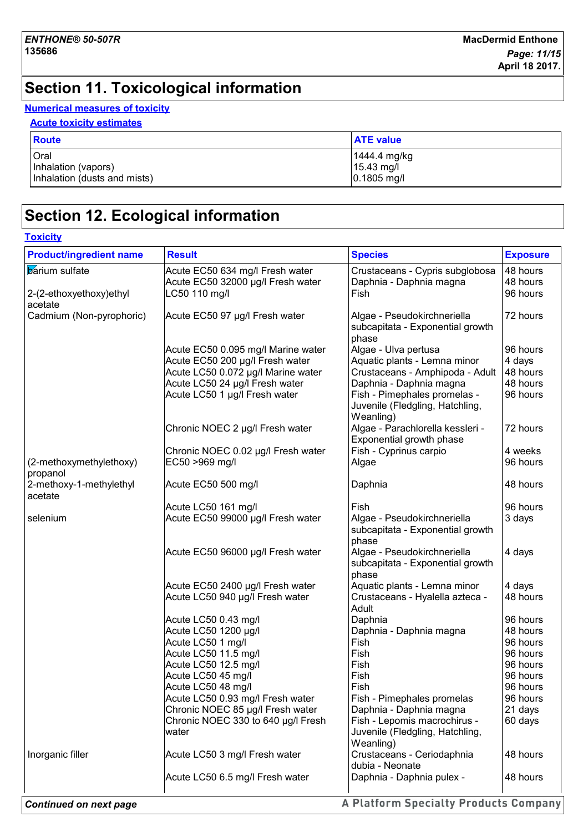## **Section 11. Toxicological information**

#### **Numerical measures of toxicity**

#### **Acute toxicity estimates**

| <b>Route</b>                 | <b>ATE value</b> |
|------------------------------|------------------|
| Oral                         | 1444.4 mg/kg     |
| Inhalation (vapors)          | $15.43$ mg/l     |
| Inhalation (dusts and mists) | $0.1805$ mg/l    |

## **Section 12. Ecological information**

#### **Toxicity**

| <b>Product/ingredient name</b> | <b>Result</b>                            | <b>Species</b>                   | <b>Exposure</b>      |
|--------------------------------|------------------------------------------|----------------------------------|----------------------|
| <b>barium</b> sulfate          | Acute EC50 634 mg/l Fresh water          | Crustaceans - Cypris subglobosa  | 48 hours             |
|                                | Acute EC50 32000 µg/l Fresh water        | Daphnia - Daphnia magna          | 48 hours             |
| 2-(2-ethoxyethoxy)ethyl        | LC50 110 mg/l                            | Fish                             | 96 hours             |
| acetate                        |                                          |                                  |                      |
| Cadmium (Non-pyrophoric)       | Acute EC50 97 µg/l Fresh water           | Algae - Pseudokirchneriella      | 72 hours             |
|                                |                                          | subcapitata - Exponential growth |                      |
|                                | Acute EC50 0.095 mg/l Marine water       | phase<br>Algae - Ulva pertusa    | 96 hours             |
|                                | Acute EC50 200 µg/l Fresh water          | Aquatic plants - Lemna minor     | 4 days               |
|                                | Acute LC50 0.072 µg/l Marine water       | Crustaceans - Amphipoda - Adult  | 48 hours             |
|                                | Acute LC50 24 µg/l Fresh water           | Daphnia - Daphnia magna          | 48 hours             |
|                                | Acute LC50 1 µg/l Fresh water            | Fish - Pimephales promelas -     | 96 hours             |
|                                |                                          | Juvenile (Fledgling, Hatchling,  |                      |
|                                |                                          | Weanling)                        |                      |
|                                | Chronic NOEC 2 µg/l Fresh water          | Algae - Parachlorella kessleri - | 72 hours             |
|                                |                                          | Exponential growth phase         |                      |
|                                | Chronic NOEC 0.02 µg/l Fresh water       | Fish - Cyprinus carpio           | 4 weeks              |
| (2-methoxymethylethoxy)        | EC50 >969 mg/l                           | Algae                            | 96 hours             |
| propanol                       |                                          |                                  |                      |
| 2-methoxy-1-methylethyl        | Acute EC50 500 mg/l                      | Daphnia                          | 48 hours             |
| acetate                        |                                          |                                  |                      |
|                                | Acute LC50 161 mg/l                      | Fish                             | 96 hours             |
| selenium                       | Acute EC50 99000 µg/l Fresh water        | Algae - Pseudokirchneriella      | 3 days               |
|                                |                                          | subcapitata - Exponential growth |                      |
|                                |                                          | phase                            |                      |
|                                | Acute EC50 96000 µg/l Fresh water        | Algae - Pseudokirchneriella      | 4 days               |
|                                |                                          | subcapitata - Exponential growth |                      |
|                                |                                          | phase                            |                      |
|                                | Acute EC50 2400 µg/l Fresh water         | Aquatic plants - Lemna minor     | 4 days               |
|                                | Acute LC50 940 µg/l Fresh water          | Crustaceans - Hyalella azteca -  | 48 hours             |
|                                |                                          | Adult                            |                      |
|                                | Acute LC50 0.43 mg/l                     | Daphnia                          | 96 hours             |
|                                | Acute LC50 1200 µg/l                     | Daphnia - Daphnia magna          | 48 hours             |
|                                | Acute LC50 1 mg/l                        | Fish                             | 96 hours             |
|                                | Acute LC50 11.5 mg/l                     | Fish                             | 96 hours             |
|                                | Acute LC50 12.5 mg/l                     | Fish<br>Fish                     | 96 hours             |
|                                | Acute LC50 45 mg/l<br>Acute LC50 48 mg/l | Fish                             | 96 hours<br>96 hours |
|                                | Acute LC50 0.93 mg/l Fresh water         | Fish - Pimephales promelas       | 96 hours             |
|                                | Chronic NOEC 85 µg/l Fresh water         | Daphnia - Daphnia magna          | 21 days              |
|                                | Chronic NOEC 330 to 640 µg/l Fresh       | Fish - Lepomis macrochirus -     | 60 days              |
|                                | water                                    | Juvenile (Fledgling, Hatchling,  |                      |
|                                |                                          | Weanling)                        |                      |
| Inorganic filler               | Acute LC50 3 mg/l Fresh water            | Crustaceans - Ceriodaphnia       | 48 hours             |
|                                |                                          | dubia - Neonate                  |                      |
|                                | Acute LC50 6.5 mg/l Fresh water          | Daphnia - Daphnia pulex -        | 48 hours             |
|                                |                                          |                                  |                      |

A Platform Specialty Products Company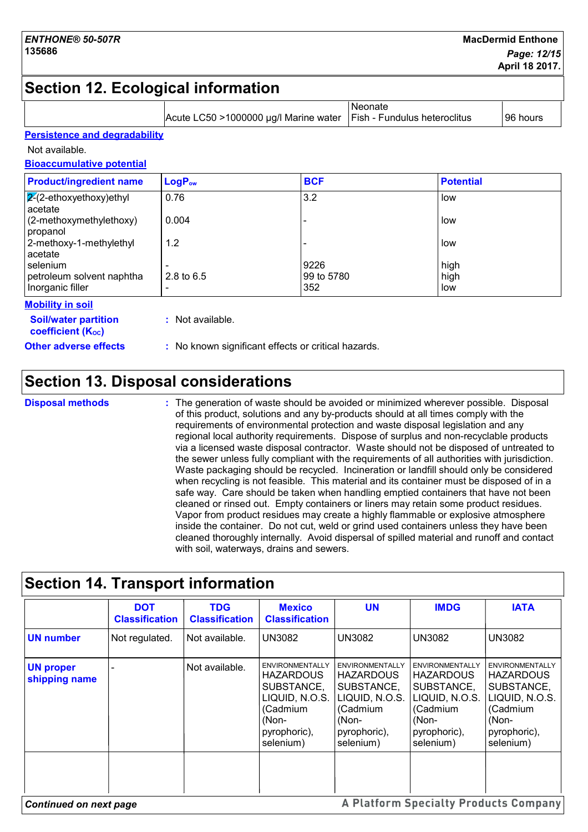## **Section 12. Ecological information**

|                                                         |                                        | Neonate<br>Acute LC50 >1000000 µg/l Marine water<br>Fish - Fundulus heteroclitus |                  | 96 hours |
|---------------------------------------------------------|----------------------------------------|----------------------------------------------------------------------------------|------------------|----------|
| <b>Persistence and degradability</b>                    |                                        |                                                                                  |                  |          |
| Not available.                                          |                                        |                                                                                  |                  |          |
| <b>Bioaccumulative potential</b>                        |                                        |                                                                                  |                  |          |
| <b>Product/ingredient name</b>                          | LogP <sub>ow</sub>                     | <b>BCF</b>                                                                       | <b>Potential</b> |          |
| $2-(2-ethoxyethoxy)ethyl$<br>acetate                    | 0.76                                   | 3.2                                                                              | low              |          |
| (2-methoxymethylethoxy)<br>propanol                     | 0.004                                  |                                                                                  | low              |          |
| 2-methoxy-1-methylethyl<br>acetate                      | 1.2                                    |                                                                                  | low              |          |
| selenium                                                |                                        | 9226                                                                             | high             |          |
| petroleum solvent naphtha<br>Inorganic filler           | 2.8 to 6.5<br>$\overline{\phantom{0}}$ | 99 to 5780<br>352                                                                | high<br>low      |          |
| <b>Mobility in soil</b>                                 |                                        |                                                                                  |                  |          |
| <b>Soil/water partition</b><br><b>coefficient (Koc)</b> | : Not available.                       |                                                                                  |                  |          |
| <b>Other adverse effects</b>                            |                                        | : No known significant effects or critical hazards.                              |                  |          |

## **Section 13. Disposal considerations**

#### **Disposal methods :**

The generation of waste should be avoided or minimized wherever possible. Disposal of this product, solutions and any by-products should at all times comply with the requirements of environmental protection and waste disposal legislation and any regional local authority requirements. Dispose of surplus and non-recyclable products via a licensed waste disposal contractor. Waste should not be disposed of untreated to the sewer unless fully compliant with the requirements of all authorities with jurisdiction. Waste packaging should be recycled. Incineration or landfill should only be considered when recycling is not feasible. This material and its container must be disposed of in a safe way. Care should be taken when handling emptied containers that have not been cleaned or rinsed out. Empty containers or liners may retain some product residues. Vapor from product residues may create a highly flammable or explosive atmosphere inside the container. Do not cut, weld or grind used containers unless they have been cleaned thoroughly internally. Avoid dispersal of spilled material and runoff and contact with soil, waterways, drains and sewers.

|                                   | <b>DOT</b><br><b>Classification</b> | <b>TDG</b><br><b>Classification</b> | <b>Mexico</b><br><b>Classification</b>                                                                                       | <b>UN</b>                                                                                                                    | <b>IMDG</b>                                                                                                                  | <b>IATA</b>                                                                                                                  |
|-----------------------------------|-------------------------------------|-------------------------------------|------------------------------------------------------------------------------------------------------------------------------|------------------------------------------------------------------------------------------------------------------------------|------------------------------------------------------------------------------------------------------------------------------|------------------------------------------------------------------------------------------------------------------------------|
| <b>UN number</b>                  | Not regulated.                      | Not available.                      | <b>UN3082</b>                                                                                                                | <b>UN3082</b>                                                                                                                | <b>UN3082</b>                                                                                                                | <b>UN3082</b>                                                                                                                |
| <b>UN proper</b><br>shipping name |                                     | Not available.                      | <b>ENVIRONMENTALLY</b><br><b>HAZARDOUS</b><br>SUBSTANCE,<br>LIQUID, N.O.S.<br>(Cadmium<br>(Non-<br>pyrophoric),<br>selenium) | <b>ENVIRONMENTALLY</b><br><b>HAZARDOUS</b><br>SUBSTANCE,<br>LIQUID, N.O.S.<br>(Cadmium<br>(Non-<br>pyrophoric),<br>selenium) | <b>ENVIRONMENTALLY</b><br><b>HAZARDOUS</b><br>SUBSTANCE,<br>LIQUID, N.O.S.<br>(Cadmium<br>(Non-<br>pyrophoric),<br>selenium) | <b>ENVIRONMENTALLY</b><br><b>HAZARDOUS</b><br>SUBSTANCE,<br>LIQUID, N.O.S.<br>(Cadmium<br>(Non-<br>pyrophoric),<br>selenium) |

## **Section 14. Transport information**

*Continued on next page*

A Platform Specialty Products Company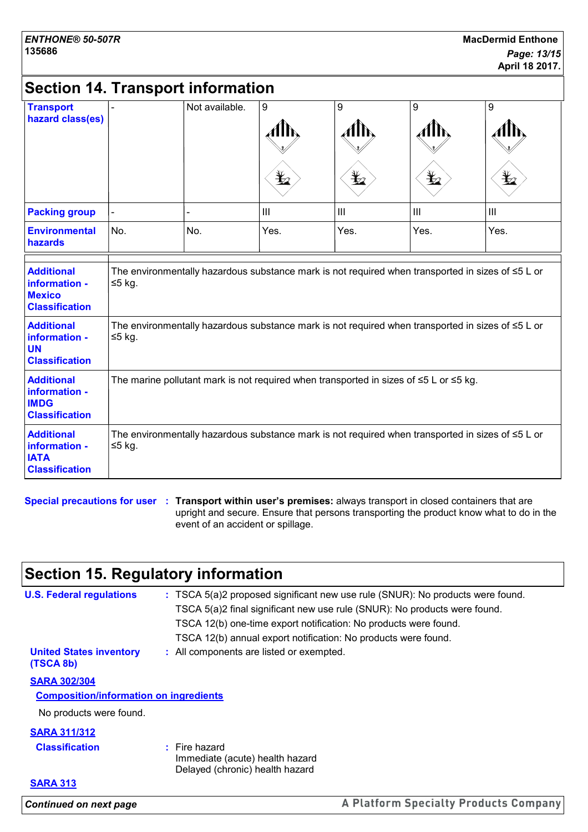## **Section 14. Transport information**

| <b>Transport</b><br>hazard class(es)                                         |                | Not available. | 9                                                                                                       | 9<br>$\mathbf{\mathbf{\mathbf{\mathbf{\mathbf{\mathbf{\mathbf{\mathbf{Y}}}}}}$ | 9<br>¥         | 9    |
|------------------------------------------------------------------------------|----------------|----------------|---------------------------------------------------------------------------------------------------------|--------------------------------------------------------------------------------|----------------|------|
| <b>Packing group</b>                                                         | $\blacksquare$ | L              | III                                                                                                     | III                                                                            | $\mathbf{III}$ | III  |
| <b>Environmental</b><br>hazards                                              | No.            | No.            | Yes.                                                                                                    | Yes.                                                                           | Yes.           | Yes. |
| <b>Additional</b><br>information -<br><b>Mexico</b><br><b>Classification</b> | ≤5 kg.         |                | The environmentally hazardous substance mark is not required when transported in sizes of $\leq 5$ L or |                                                                                |                |      |
| <b>Additional</b><br>information -<br><b>UN</b><br><b>Classification</b>     | ≤5 kg.         |                | The environmentally hazardous substance mark is not required when transported in sizes of $\leq 5$ L or |                                                                                |                |      |
| <b>Additional</b><br>information -<br><b>IMDG</b><br><b>Classification</b>   |                |                | The marine pollutant mark is not required when transported in sizes of $\leq 5$ L or $\leq 5$ kg.       |                                                                                |                |      |
| <b>Additional</b><br>information -<br><b>IATA</b><br><b>Classification</b>   | $≤5$ kg.       |                | The environmentally hazardous substance mark is not required when transported in sizes of $\leq 5$ L or |                                                                                |                |      |

**Special precautions for user Transport within user's premises:** always transport in closed containers that are **:** upright and secure. Ensure that persons transporting the product know what to do in the event of an accident or spillage.

## **Section 15. Regulatory information**

| <b>Continued on next page</b>                 |                                                                    | A Platform Specialty Products Company                                          |
|-----------------------------------------------|--------------------------------------------------------------------|--------------------------------------------------------------------------------|
| <b>SARA 313</b>                               |                                                                    |                                                                                |
|                                               | Immediate (acute) health hazard<br>Delayed (chronic) health hazard |                                                                                |
| <b>Classification</b>                         | $:$ Fire hazard                                                    |                                                                                |
| <b>SARA 311/312</b>                           |                                                                    |                                                                                |
| No products were found.                       |                                                                    |                                                                                |
| <b>Composition/information on ingredients</b> |                                                                    |                                                                                |
| <b>SARA 302/304</b>                           |                                                                    |                                                                                |
| <b>United States inventory</b><br>(TSCA 8b)   | : All components are listed or exempted.                           |                                                                                |
|                                               | TSCA 12(b) annual export notification: No products were found.     |                                                                                |
|                                               | TSCA 12(b) one-time export notification: No products were found.   |                                                                                |
|                                               |                                                                    | TSCA 5(a)2 final significant new use rule (SNUR): No products were found.      |
| <b>U.S. Federal regulations</b>               |                                                                    | : TSCA 5(a)2 proposed significant new use rule (SNUR): No products were found. |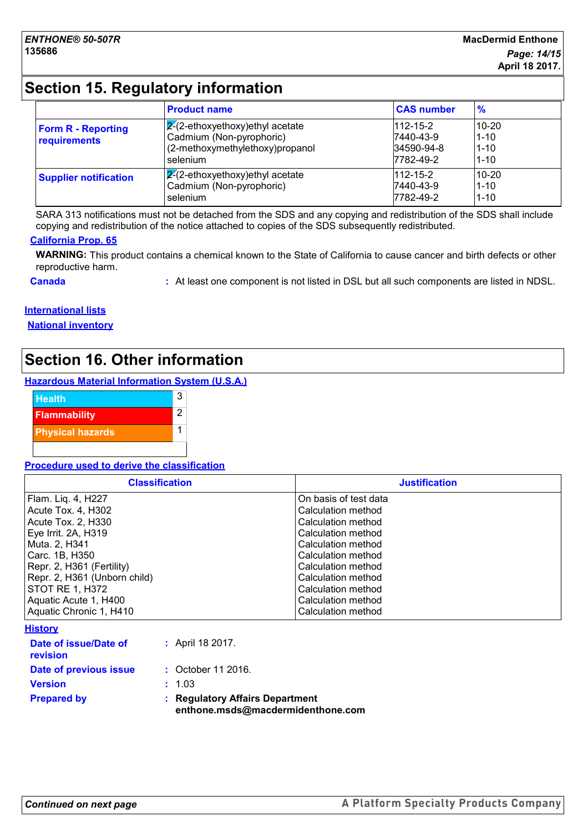## **Section 15. Regulatory information**

|                                           | <b>Product name</b>                                                                                           | <b>CAS number</b>                                      | $\frac{9}{6}$                                 |
|-------------------------------------------|---------------------------------------------------------------------------------------------------------------|--------------------------------------------------------|-----------------------------------------------|
| <b>Form R - Reporting</b><br>requirements | $2-(2-ethoxyethoxy)$ ethyl acetate<br>Cadmium (Non-pyrophoric)<br>(2-methoxymethylethoxy)propanol<br>selenium | $112 - 15 - 2$<br>7440-43-9<br>34590-94-8<br>7782-49-2 | $10 - 20$<br>$1 - 10$<br>$1 - 10$<br>$1 - 10$ |
| <b>Supplier notification</b>              | $ 2(2-ethoxyethoxy)$ ethyl acetate<br>Cadmium (Non-pyrophoric)<br>selenium                                    | $112 - 15 - 2$<br>7440-43-9<br>7782-49-2               | $10 - 20$<br>$1 - 10$<br>$1 - 10$             |

SARA 313 notifications must not be detached from the SDS and any copying and redistribution of the SDS shall include copying and redistribution of the notice attached to copies of the SDS subsequently redistributed.

#### **California Prop. 65**

**WARNING:** This product contains a chemical known to the State of California to cause cancer and birth defects or other reproductive harm.

**Canada 19. In the component is not listed in DSL** but all such components are listed in NDSL.

#### **International lists**

**National inventory**

## **Section 16. Other information**

#### **Hazardous Material Information System (U.S.A.)**



#### **Procedure used to derive the classification**

| <b>Classification</b>        | <b>Justification</b>  |
|------------------------------|-----------------------|
| Flam. Liq. 4, H227           | On basis of test data |
| Acute Tox. 4, H302           | Calculation method    |
| Acute Tox. 2, H330           | Calculation method    |
| Eye Irrit. 2A, H319          | Calculation method    |
| Muta. 2, H341                | Calculation method    |
| l Carc. 1B. H350             | Calculation method    |
| Repr. 2, H361 (Fertility)    | Calculation method    |
| Repr. 2, H361 (Unborn child) | Calculation method    |
| STOT RE 1, H372              | Calculation method    |
| Aquatic Acute 1, H400        | Calculation method    |
| Aquatic Chronic 1, H410      | Calculation method    |

|--|

| <b>Prepared by</b>                       | ÷. | <b>Regulatory Affairs Department</b><br>enthone.msds@macdermidenthone.com |
|------------------------------------------|----|---------------------------------------------------------------------------|
| <b>Version</b>                           |    | : 1.03                                                                    |
| Date of previous issue                   |    | : October 11 2016.                                                        |
| Date of issue/Date of<br><b>revision</b> |    | : April 18 2017.                                                          |
|                                          |    |                                                                           |